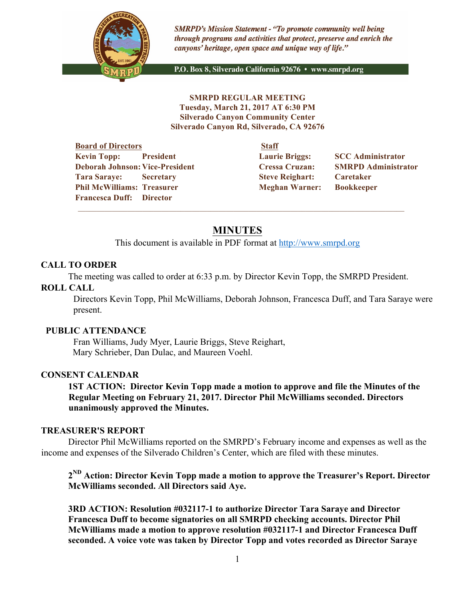

**SMRPD's Mission Statement - "To promote community well being** through programs and activities that protect, preserve and enrich the canyons' heritage, open space and unique way of life."

P.O. Box 8, Silverado California 92676 · www.smrpd.org

**SMRPD REGULAR MEETING Tuesday, March 21, 2017 AT 6:30 PM Silverado Canyon Community Center Silverado Canyon Rd, Silverado, CA 92676** 

**Board of Directors Staff Kevin Topp:** President Laurie Briggs: SCC Administrator **Deborah Johnson: Vice-President Cressa Cruzan: SMRPD Administrator Tara Saraye: Secretary Steve Reighart: Caretaker Phil McWilliams: Treasurer Meghan Warner: Bookkeeper Francesca Duff: Director** 

# **MINUTES**

 $\overline{\phantom{a}}$  ,  $\overline{\phantom{a}}$  ,  $\overline{\phantom{a}}$  ,  $\overline{\phantom{a}}$  ,  $\overline{\phantom{a}}$  ,  $\overline{\phantom{a}}$  ,  $\overline{\phantom{a}}$  ,  $\overline{\phantom{a}}$  ,  $\overline{\phantom{a}}$  ,  $\overline{\phantom{a}}$  ,  $\overline{\phantom{a}}$  ,  $\overline{\phantom{a}}$  ,  $\overline{\phantom{a}}$  ,  $\overline{\phantom{a}}$  ,  $\overline{\phantom{a}}$  ,  $\overline{\phantom{a}}$ 

This document is available in PDF format at http://www.smrpd.org

### **CALL TO ORDER**

The meeting was called to order at 6:33 p.m. by Director Kevin Topp, the SMRPD President.

#### **ROLL CALL**

Directors Kevin Topp, Phil McWilliams, Deborah Johnson, Francesca Duff, and Tara Saraye were present.

#### **PUBLIC ATTENDANCE**

Fran Williams, Judy Myer, Laurie Briggs, Steve Reighart, Mary Schrieber, Dan Dulac, and Maureen Voehl.

### **CONSENT CALENDAR**

**1ST ACTION: Director Kevin Topp made a motion to approve and file the Minutes of the Regular Meeting on February 21, 2017. Director Phil McWilliams seconded. Directors unanimously approved the Minutes.**

#### **TREASURER'S REPORT**

Director Phil McWilliams reported on the SMRPD's February income and expenses as well as the income and expenses of the Silverado Children's Center, which are filed with these minutes.

**2ND Action: Director Kevin Topp made a motion to approve the Treasurer's Report. Director McWilliams seconded. All Directors said Aye.**

**3RD ACTION: Resolution #032117-1 to authorize Director Tara Saraye and Director Francesca Duff to become signatories on all SMRPD checking accounts. Director Phil McWilliams made a motion to approve resolution #032117-1 and Director Francesca Duff seconded. A voice vote was taken by Director Topp and votes recorded as Director Saraye**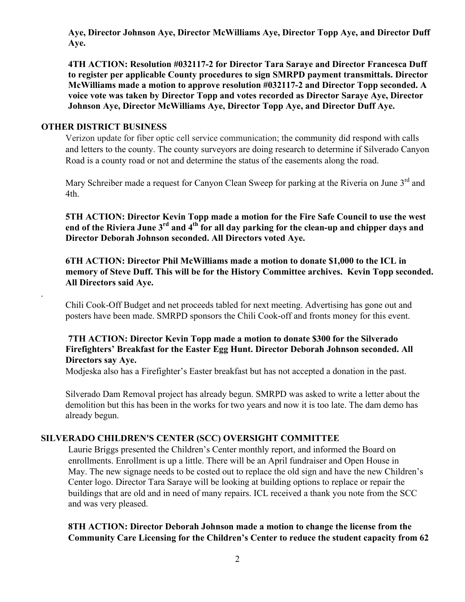**Aye, Director Johnson Aye, Director McWilliams Aye, Director Topp Aye, and Director Duff Aye.**

**4TH ACTION: Resolution #032117-2 for Director Tara Saraye and Director Francesca Duff to register per applicable County procedures to sign SMRPD payment transmittals. Director McWilliams made a motion to approve resolution #032117-2 and Director Topp seconded. A voice vote was taken by Director Topp and votes recorded as Director Saraye Aye, Director Johnson Aye, Director McWilliams Aye, Director Topp Aye, and Director Duff Aye.**

## **OTHER DISTRICT BUSINESS**

.

Verizon update for fiber optic cell service communication; the community did respond with calls and letters to the county. The county surveyors are doing research to determine if Silverado Canyon Road is a county road or not and determine the status of the easements along the road.

Mary Schreiber made a request for Canyon Clean Sweep for parking at the Riveria on June 3<sup>rd</sup> and 4th.

**5TH ACTION: Director Kevin Topp made a motion for the Fire Safe Council to use the west end of the Riviera June 3rd and 4th for all day parking for the clean-up and chipper days and Director Deborah Johnson seconded. All Directors voted Aye.**

**6TH ACTION: Director Phil McWilliams made a motion to donate \$1,000 to the ICL in memory of Steve Duff. This will be for the History Committee archives. Kevin Topp seconded. All Directors said Aye.**

Chili Cook-Off Budget and net proceeds tabled for next meeting. Advertising has gone out and posters have been made. SMRPD sponsors the Chili Cook-off and fronts money for this event.

# **7TH ACTION: Director Kevin Topp made a motion to donate \$300 for the Silverado Firefighters' Breakfast for the Easter Egg Hunt. Director Deborah Johnson seconded. All Directors say Aye.**

Modjeska also has a Firefighter's Easter breakfast but has not accepted a donation in the past.

Silverado Dam Removal project has already begun. SMRPD was asked to write a letter about the demolition but this has been in the works for two years and now it is too late. The dam demo has already begun.

### **SILVERADO CHILDREN'S CENTER (SCC) OVERSIGHT COMMITTEE**

Laurie Briggs presented the Children's Center monthly report, and informed the Board on enrollments. Enrollment is up a little. There will be an April fundraiser and Open House in May. The new signage needs to be costed out to replace the old sign and have the new Children's Center logo. Director Tara Saraye will be looking at building options to replace or repair the buildings that are old and in need of many repairs. ICL received a thank you note from the SCC and was very pleased.

**8TH ACTION: Director Deborah Johnson made a motion to change the license from the Community Care Licensing for the Children's Center to reduce the student capacity from 62**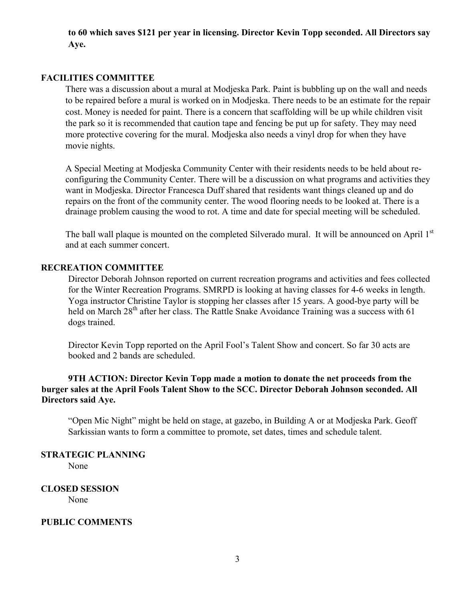**to 60 which saves \$121 per year in licensing. Director Kevin Topp seconded. All Directors say Aye.**

#### **FACILITIES COMMITTEE**

There was a discussion about a mural at Modjeska Park. Paint is bubbling up on the wall and needs to be repaired before a mural is worked on in Modjeska. There needs to be an estimate for the repair cost. Money is needed for paint. There is a concern that scaffolding will be up while children visit the park so it is recommended that caution tape and fencing be put up for safety. They may need more protective covering for the mural. Modjeska also needs a vinyl drop for when they have movie nights.

A Special Meeting at Modjeska Community Center with their residents needs to be held about reconfiguring the Community Center. There will be a discussion on what programs and activities they want in Modjeska. Director Francesca Duff shared that residents want things cleaned up and do repairs on the front of the community center. The wood flooring needs to be looked at. There is a drainage problem causing the wood to rot. A time and date for special meeting will be scheduled.

The ball wall plaque is mounted on the completed Silverado mural. It will be announced on April 1<sup>st</sup> and at each summer concert.

### **RECREATION COMMITTEE**

Director Deborah Johnson reported on current recreation programs and activities and fees collected for the Winter Recreation Programs. SMRPD is looking at having classes for 4-6 weeks in length. Yoga instructor Christine Taylor is stopping her classes after 15 years. A good-bye party will be held on March 28<sup>th</sup> after her class. The Rattle Snake Avoidance Training was a success with 61 dogs trained.

Director Kevin Topp reported on the April Fool's Talent Show and concert. So far 30 acts are booked and 2 bands are scheduled.

# **9TH ACTION: Director Kevin Topp made a motion to donate the net proceeds from the burger sales at the April Fools Talent Show to the SCC. Director Deborah Johnson seconded. All Directors said Aye.**

"Open Mic Night" might be held on stage, at gazebo, in Building A or at Modjeska Park. Geoff Sarkissian wants to form a committee to promote, set dates, times and schedule talent.

**STRATEGIC PLANNING** 

None

**CLOSED SESSION** None

#### **PUBLIC COMMENTS**